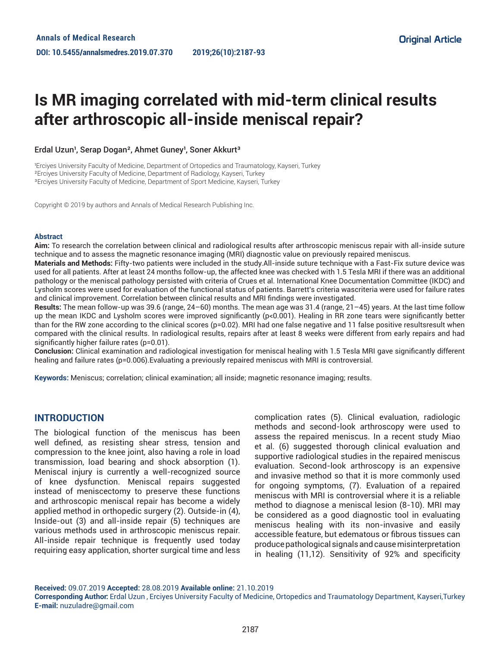# **Is MR imaging correlated with mid-term clinical results after arthroscopic all-inside meniscal repair?**

#### Erdal Uzun<sup>1</sup>, Serap Dogan<sup>2</sup>, Ahmet Guney<sup>1</sup>, Soner Akkurt<sup>3</sup>

'Erciyes University Faculty of Medicine, Department of Ortopedics and Traumatology, Kayseri, Turkey ²Erciyes University Faculty of Medicine, Department of Radiology, Kayseri, Turkey <sup>3</sup>Erciyes University Faculty of Medicine, Department of Sport Medicine, Kayseri, Turkey

Copyright © 2019 by authors and Annals of Medical Research Publishing Inc.

#### **Abstract**

**Aim:** To research the correlation between clinical and radiological results after arthroscopic meniscus repair with all-inside suture technique and to assess the magnetic resonance imaging (MRI) diagnostic value on previously repaired meniscus.

**Materials and Methods:** Fifty-two patients were included in the study.All-inside suture technique with a Fast-Fix suture device was used for all patients. After at least 24 months follow-up, the affected knee was checked with 1.5 Tesla MRI if there was an additional pathology or the meniscal pathology persisted with criteria of Crues et al. International Knee Documentation Committee (IKDC) and Lysholm scores were used for evaluation of the functional status of patients. Barrett's criteria wascriteria were used for failure rates and clinical improvement. Correlation between clinical results and MRI findings were investigated.

**Results:** The mean follow-up was 39.6 (range, 24–60) months. The mean age was 31.4 (range, 21–45) years. At the last time follow up the mean IKDC and Lysholm scores were improved significantly ( $p<0.001$ ). Healing in RR zone tears were significantly better than for the RW zone according to the clinical scores (p=0.02). MRI had one false negative and 11 false positive resultsresult when compared with the clinical results. In radiological results, repairs after at least 8 weeks were different from early repairs and had significantly higher failure rates (p=0.01).

**Conclusion:** Clinical examination and radiological investigation for meniscal healing with 1.5 Tesla MRI gave significantly different healing and failure rates (p=0.006).Evaluating a previously repaired meniscus with MRI is controversial.

**Keywords:** Meniscus; correlation; clinical examination; all inside; magnetic resonance imaging; results.

## **INTRODUCTION**

The biological function of the meniscus has been well defined, as resisting shear stress, tension and compression to the knee joint, also having a role in load transmission, load bearing and shock absorption (1). Meniscal injury is currently a well-recognized source of knee dysfunction. Meniscal repairs suggested instead of meniscectomy to preserve these functions and arthroscopic meniscal repair has become a widely applied method in orthopedic surgery (2). Outside-in (4), Inside-out (3) and all-inside repair (5) techniques are various methods used in arthroscopic meniscus repair. All-inside repair technique is frequently used today requiring easy application, shorter surgical time and less

complication rates (5). Clinical evaluation, radiologic methods and second-look arthroscopy were used to assess the repaired meniscus. In a recent study Miao et al. (6) suggested thorough clinical evaluation and supportive radiological studies in the repaired meniscus evaluation. Second-look arthroscopy is an expensive and invasive method so that it is more commonly used for ongoing symptoms, (7). Evaluation of a repaired meniscus with MRI is controversial where it is a reliable method to diagnose a meniscal lesion (8-10). MRI may be considered as a good diagnostic tool in evaluating meniscus healing with its non-invasive and easily accessible feature, but edematous or fibrous tissues can produce pathological signals and cause misinterpretation in healing (11,12). Sensitivity of 92% and specificity

**Received:** 09.07.2019 **Accepted:** 28.08.2019 **Available online:** 21.10.2019

**Corresponding Author:** Erdal Uzun , Erciyes University Faculty of Medicine, Ortopedics and Traumatology Department, Kayseri,Turkey **E-mail:** nuzuladre@gmail.com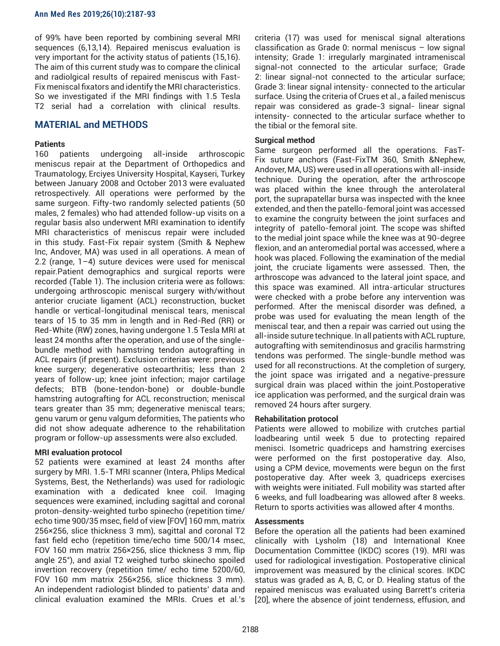#### **Ann Med Res 2019;26(10):2187-93**

of 99% have been reported by combining several MRI sequences (6,13,14). Repaired meniscus evaluation is very important for the activity status of patients (15,16). The aim of this current study was to compare the clinical and radiolgical results of repaired meniscus with Fast-Fix meniscal fixators and identify the MRI characteristics. So we investigated if the MRI findings with 1.5 Tesla T2 serial had a correlation with clinical results.

## **MATERIAL and METHODS**

## **Patients**

160 patients undergoing all-inside arthroscopic meniscus repair at the Department of Orthopedics and Traumatology, Erciyes University Hospital, Kayseri, Turkey between January 2008 and October 2013 were evaluated retrospectively. All operations were performed by the same surgeon. Fifty-two randomly selected patients (50 males, 2 females) who had attended follow-up visits on a regular basis also underwent MRI examination to identify MRI characteristics of meniscus repair were included in this study. Fast-Fix repair system (Smith & Nephew Inc, Andover, MA) was used in all operations. A mean of 2.2 (range, 1–4) suture devices were used for meniscal repair.Patient demographics and surgical reports were recorded (Table 1). The inclusion criteria were as follows: undergoing arthroscopic meniscal surgery with/without anterior cruciate ligament (ACL) reconstruction, bucket handle or vertical-longitudinal meniscal tears, meniscal tears of 15 to 35 mm in length and in Red-Red (RR) or Red-White (RW) zones, having undergone 1.5 Tesla MRI at least 24 months after the operation, and use of the singlebundle method with hamstring tendon autografting in ACL repairs (if present). Exclusion criterias were: previous knee surgery; degenerative osteoarthritis; less than 2 years of follow-up; knee joint infection; major cartilage defects; BTB (bone-tendon-bone) or double-bundle hamstring autografting for ACL reconstruction; meniscal tears greater than 35 mm; degenerative meniscal tears; genu varum or genu valgum deformities, The patients who did not show adequate adherence to the rehabilitation program or follow-up assessments were also excluded.

## **MRI evaluation protocol**

52 patients were examined at least 24 months after surgery by MRI. 1.5-T MRI scanner (Intera, Phlips Medical Systems, Best, the Netherlands) was used for radiologic examination with a dedicated knee coil. Imaging sequences were examined, including sagittal and coronal proton-density-weighted turbo spinecho (repetition time/ echo time 900/35 msec, field of view [FOV] 160 mm, matrix 256×256, slice thickness 3 mm), sagittal and coronal T2 fast field echo (repetition time/echo time 500/14 msec, FOV 160 mm matrix 256×256, slice thickness 3 mm, flip angle 25°), and axial T2 weighed turbo skinecho spoiled invertion recovery (repetition time/ echo time 5200/60, FOV 160 mm matrix 256×256, slice thickness 3 mm). An independent radiologist blinded to patients' data and clinical evaluation examined the MRIs. Crues et al.'s

criteria (17) was used for meniscal signal alterations classification as Grade 0: normal meniscus – low signal intensity; Grade 1: irregularly marginated intrameniscal signal-not connected to the articular surface; Grade 2: linear signal-not connected to the articular surface; Grade 3: linear signal intensity- connected to the articular surface. Using the criteria of Crues et al., a failed meniscus repair was considered as grade-3 signal- linear signal intensity- connected to the articular surface whether to the tibial or the femoral site.

## **Surgical method**

Same surgeon performed all the operations. FasT-Fix suture anchors (Fast-FixTM 360, Smith &Nephew, Andover, MA, US) were used in all operations with all-inside technique. During the operation, after the arthroscope was placed within the knee through the anterolateral port, the suprapatellar bursa was inspected with the knee extended, and then the patello-femoral joint was accessed to examine the congruity between the joint surfaces and integrity of patello-femoral joint. The scope was shifted to the medial joint space while the knee was at 90-degree flexion, and an anteromedial portal was accessed, where a hook was placed. Following the examination of the medial joint, the cruciate ligaments were assessed. Then, the arthroscope was advanced to the lateral joint space, and this space was examined. All intra-articular structures were checked with a probe before any intervention was performed. After the meniscal disorder was defined, a probe was used for evaluating the mean length of the meniscal tear, and then a repair was carried out using the all-inside suture technique. In all patients with ACL rupture, autografting with semitendinosus and gracilis harmstring tendons was performed. The single-bundle method was used for all reconstructions. At the completion of surgery, the joint space was irrigated and a negative-pressure surgical drain was placed within the joint.Postoperative ice application was performed, and the surgical drain was removed 24 hours after surgery.

## **Rehabilitation protocol**

Patients were allowed to mobilize with crutches partial loadbearing until week 5 due to protecting repaired menisci. Isometric quadriceps and hamstring exercises were performed on the first postoperative day. Also, using a CPM device, movements were begun on the first postoperative day. After week 3, quadriceps exercises with weights were initiated. Full mobility was started after 6 weeks, and full loadbearing was allowed after 8 weeks. Return to sports activities was allowed after 4 months.

## **Assessments**

Before the operation all the patients had been examined clinically with Lysholm (18) and International Knee Documentation Committee (IKDC) scores (19). MRI was used for radiological investigation. Postoperative clinical improvement was measured by the clinical scores. IKDC status was graded as A, B, C, or D. Healing status of the repaired meniscus was evaluated using Barrett's criteria [20], where the absence of joint tenderness, effusion, and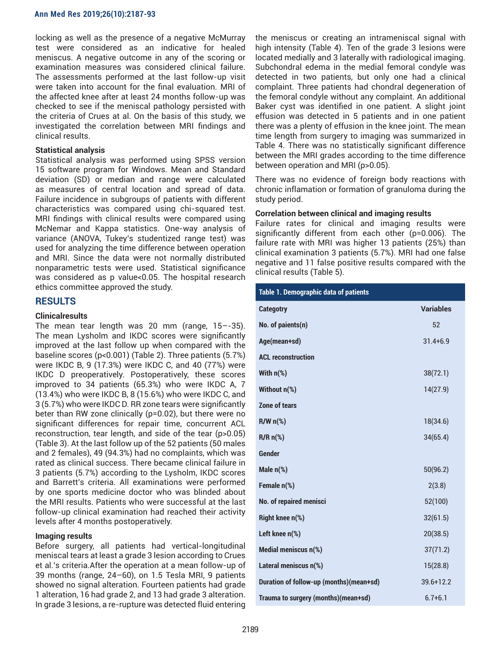locking as well as the presence of a negative McMurray test were considered as an indicative for healed meniscus. A negative outcome in any of the scoring or examination measures was considered clinical failure. The assessments performed at the last follow-up visit were taken into account for the final evaluation. MRI of the affected knee after at least 24 months follow-up was checked to see if the meniscal pathology persisted with the criteria of Crues at al. On the basis of this study, we investigated the correlation between MRI findings and clinical results.

## **Statistical analysis**

Statistical analysis was performed using SPSS version 15 software program for Windows. Mean and Standard deviation (SD) or median and range were calculated as measures of central location and spread of data. Failure incidence in subgroups of patients with different characteristics was compared using chi-squared test. MRI findings with clinical results were compared using McNemar and Kappa statistics. One-way analysis of variance (ANOVA, Tukey's studentized range test) was used for analyzing the time difference between operation and MRI. Since the data were not normally distributed nonparametric tests were used. Statistical significance was considered as p value<0.05. The hospital research ethics committee approved the study.

## **RESULTS**

## **Clinicalresults**

The mean tear length was 20 mm (range, 15–-35). The mean Lysholm and IKDC scores were significantly improved at the last follow up when compared with the baseline scores (p<0.001) (Table 2). Three patients (5.7%) were IKDC B, 9 (17.3%) were IKDC C, and 40 (77%) were IKDC D preoperatively. Postoperatively, these scores improved to 34 patients (65.3%) who were IKDC A, 7 (13.4%) who were IKDC B, 8 (15.6%) who were IKDC C, and 3 (5.7%) who were IKDC D. RR zone tears were significantly beter than RW zone clinically (p=0.02), but there were no significant differences for repair time, concurrent ACL reconstruction, tear length, and side of the tear (p>0.05) (Table 3). At the last follow up of the 52 patients (50 males and 2 females), 49 (94.3%) had no complaints, which was rated as clinical success. There became clinical failure in 3 patients (5.7%) according to the Lysholm, IKDC scores and Barrett's criteria. All examinations were performed by one sports medicine doctor who was blinded about the MRI results. Patients who were successful at the last follow-up clinical examination had reached their activity levels after 4 months postoperatively.

## **Imaging results**

Before surgery, all patients had vertical-longitudinal meniscal tears at least a grade 3 lesion according to Crues et al.'s criteria.After the operation at a mean follow-up of 39 months (range, 24–60), on 1.5 Tesla MRI, 9 patients showed no signal alteration. Fourteen patients had grade 1 alteration, 16 had grade 2, and 13 had grade 3 alteration. In grade 3 lesions, a re-rupture was detected fluid entering the meniscus or creating an intrameniscal signal with high intensity (Table 4). Ten of the grade 3 lesions were located medially and 3 laterally with radiological imaging. Subchondral edema in the medial femoral condyle was detected in two patients, but only one had a clinical complaint. Three patients had chondral degeneration of the femoral condyle without any complaint. An additional Baker cyst was identified in one patient. A slight joint effusion was detected in 5 patients and in one patient there was a plenty of effusion in the knee joint. The mean time length from surgery to imaging was summarized in Table 4. There was no statistically significant difference between the MRI grades according to the time difference between operation and MRI (p>0.05).

There was no evidence of foreign body reactions with chronic inflamation or formation of granuloma during the study period.

## **Correlation between clinical and imaging results**

Failure rates for clinical and imaging results were significantly different from each other (p=0.006). The failure rate with MRI was higher 13 patients (25%) than clinical examination 3 patients (5.7%). MRI had one false negative and 11 false positive results compared with the clinical results (Table 5).

| Table 1. Demographic data of patients   |                  |  |  |  |
|-----------------------------------------|------------------|--|--|--|
| <b>Categotry</b>                        | <b>Variables</b> |  |  |  |
| No. of paients(n)                       | 52               |  |  |  |
| Age(mean+sd)                            | $31.4 + 6.9$     |  |  |  |
| <b>ACL reconstruction</b>               |                  |  |  |  |
| With $n$ (%)                            | 38(72.1)         |  |  |  |
| Without n(%)                            | 14(27.9)         |  |  |  |
| Zone of tears                           |                  |  |  |  |
| $R/Wn(\%)$                              | 18(34.6)         |  |  |  |
| $R/Rn$ <sup>(%)</sup>                   | 34(65.4)         |  |  |  |
| <b>Gender</b>                           |                  |  |  |  |
| Male $n$ (%)                            | 50(96.2)         |  |  |  |
| Female n(%)                             | 2(3.8)           |  |  |  |
| No. of repaired menisci                 | 52(100)          |  |  |  |
| <b>Right knee n(%)</b>                  | 32(61.5)         |  |  |  |
| Left knee n(%)                          | 20(38.5)         |  |  |  |
| Medial meniscus n(%)                    | 37(71.2)         |  |  |  |
| Lateral meniscus n(%)                   | 15(28.8)         |  |  |  |
| Duration of follow-up (months)(mean+sd) | $39.6 + 12.2$    |  |  |  |
| Trauma to surgery (months)(mean+sd)     | $6.7 + 6.1$      |  |  |  |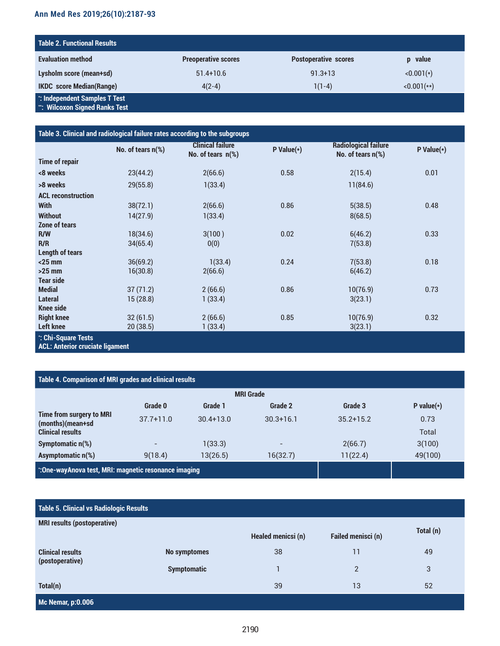# **Ann Med Res 2019;26(10):2187-93**

| <b>Table 2. Functional Results</b>                             |                            |                             |              |  |  |  |
|----------------------------------------------------------------|----------------------------|-----------------------------|--------------|--|--|--|
| <b>Evaluation method</b>                                       | <b>Preoperative scores</b> | <b>Postoperative scores</b> | p value      |  |  |  |
| Lysholm score (mean+sd)                                        | $51.4 + 10.6$              | $91.3 + 13$                 | $< 0.001(*)$ |  |  |  |
| <b>IKDC</b> score Median(Range)                                | $4(2-4)$                   | $1(1-4)$                    | $<0.001(**)$ |  |  |  |
| *: Independent Samples T Test<br>": Wilcoxon Signed Ranks Test |                            |                             |              |  |  |  |

| Table 3. Clinical and radiological failure rates according to the subgroups |                   |                                                 |                 |                                                  |               |
|-----------------------------------------------------------------------------|-------------------|-------------------------------------------------|-----------------|--------------------------------------------------|---------------|
|                                                                             | No. of tears n(%) | <b>Clinical failure</b><br>No. of tears $n$ (%) | $P$ Value $(*)$ | <b>Radiological failure</b><br>No. of tears n(%) | P Value $(*)$ |
| <b>Time of repair</b>                                                       |                   |                                                 |                 |                                                  |               |
| <8 weeks                                                                    | 23(44.2)          | 2(66.6)                                         | 0.58            | 2(15.4)                                          | 0.01          |
| >8 weeks                                                                    | 29(55.8)          | 1(33.4)                                         |                 | 11(84.6)                                         |               |
| <b>ACL reconstruction</b>                                                   |                   |                                                 |                 |                                                  |               |
| <b>With</b>                                                                 | 38(72.1)          | 2(66.6)                                         | 0.86            | 5(38.5)                                          | 0.48          |
| <b>Without</b>                                                              | 14(27.9)          | 1(33.4)                                         |                 | 8(68.5)                                          |               |
| Zone of tears                                                               |                   |                                                 |                 |                                                  |               |
| R/W                                                                         | 18(34.6)          | 3(100)                                          | 0.02            | 6(46.2)                                          | 0.33          |
| R/R                                                                         | 34(65.4)          | 0(0)                                            |                 | 7(53.8)                                          |               |
| <b>Length of tears</b>                                                      |                   |                                                 |                 |                                                  |               |
| $<$ 25 mm                                                                   | 36(69.2)          | 1(33.4)                                         | 0.24            | 7(53.8)                                          | 0.18          |
| $>25$ mm                                                                    | 16(30.8)          | 2(66.6)                                         |                 | 6(46.2)                                          |               |
| <b>Tear side</b>                                                            |                   |                                                 |                 |                                                  |               |
| <b>Medial</b>                                                               | 37(71.2)          | 2(66.6)                                         | 0.86            | 10(76.9)                                         | 0.73          |
| <b>Lateral</b>                                                              | 15(28.8)          | 1(33.4)                                         |                 | 3(23.1)                                          |               |
| <b>Knee side</b>                                                            |                   |                                                 |                 |                                                  |               |
| <b>Right knee</b>                                                           | 32(61.5)          | 2(66.6)                                         | 0.85            | 10(76.9)                                         | 0.32          |
| <b>Left knee</b>                                                            | 20(38.5)          | 1(33.4)                                         |                 | 3(23.1)                                          |               |
| *: Chi-Square Tests                                                         |                   |                                                 |                 |                                                  |               |

**ACL: Anterior cruciate ligament**

# **Table 4. Comparison of MRI grades and clinical results**

| <b>MRI Grade</b>                                    |               |               |               |               |               |
|-----------------------------------------------------|---------------|---------------|---------------|---------------|---------------|
|                                                     | Grade 0       | Grade 1       | Grade 2       | Grade 3       | P value $(*)$ |
| Time from surgery to MRI<br>(months)(mean+sd        | $37.7 + 11.0$ | $30.4 + 13.0$ | $30.3 + 16.1$ | $35.2 + 15.2$ | 0.73          |
| <b>Clinical results</b>                             |               |               |               |               | Total         |
| Symptomatic $n$ $%$ )                               |               | 1(33.3)       |               | 2(66.7)       | 3(100)        |
| Asymptomatic n(%)                                   | 9(18.4)       | 13(26.5)      | 16(32.7)      | 11(22.4)      | 49(100)       |
| ∴One-wayAnova test, MRI: magnetic resonance imaging |               |               |               |               |               |

# **Table 5. Clinical vs Radiologic Results**

| <b>MRI results (postoperative)</b>         |                     |                    |                           |           |  |
|--------------------------------------------|---------------------|--------------------|---------------------------|-----------|--|
|                                            |                     | Healed menicsi (n) | <b>Failed menisci (n)</b> | Total (n) |  |
| <b>Clinical results</b><br>(postoperative) | <b>No symptomes</b> | 38                 | 11                        | 49        |  |
|                                            | <b>Symptomatic</b>  |                    | $\overline{2}$            | 3         |  |
| Total(n)                                   |                     | 39                 | 13                        | 52        |  |
| <b>Mc Nemar, p:0.006</b>                   |                     |                    |                           |           |  |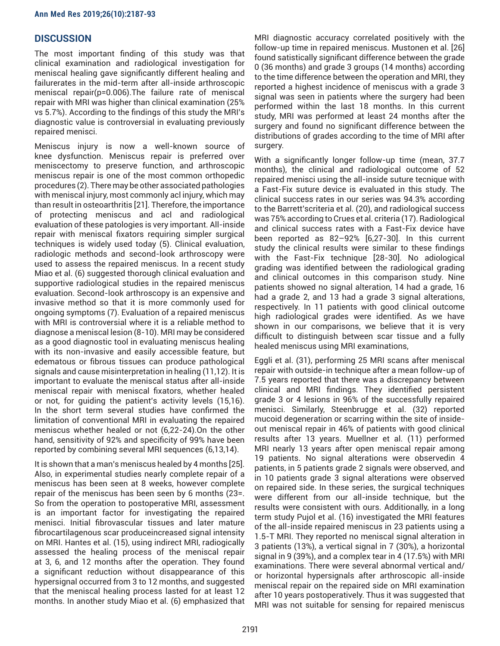## **DISCUSSION**

The most important finding of this study was that clinical examination and radiological investigation for meniscal healing gave significantly different healing and failurerates in the mid-term after all-inside arthroscopic meniscal repair(p=0.006).The failure rate of meniscal repair with MRI was higher than clinical examination (25% vs 5.7%). According to the findings of this study the MRI's diagnostic value is controversial in evaluating previously repaired menisci.

Meniscus injury is now a well-known source of knee dysfunction. Meniscus repair is preferred over meniscectomy to preserve function, and arthroscopic meniscus repair is one of the most common orthopedic procedures (2). There may be other associated pathologies with meniscal injury, most commonly acl injury, which may than result in osteoarthritis [21]. Therefore, the importance of protecting meniscus and acl and radiological evaluation of these patologies is very important. All-inside repair with meniscal fixators requiring simpler surgical techniques is widely used today (5). Clinical evaluation, radiologic methods and second-look arthroscopy were used to assess the repaired meniscus. In a recent study Miao et al. (6) suggested thorough clinical evaluation and supportive radiological studies in the repaired meniscus evaluation. Second-look arthroscopy is an expensive and invasive method so that it is more commonly used for ongoing symptoms (7). Evaluation of a repaired meniscus with MRI is controversial where it is a reliable method to diagnose a meniscal lesion (8-10). MRI may be considered as a good diagnostic tool in evaluating meniscus healing with its non-invasive and easily accessible feature, but edematous or fibrous tissues can produce pathological signals and cause misinterpretation in healing (11,12). It is important to evaluate the meniscal status after all-inside meniscal repair with meniscal fixators, whether healed or not, for guiding the patient's activity levels (15,16). In the short term several studies have confirmed the limitation of conventional MRI in evaluating the repaired meniscus whether healed or not (6,22-24).On the other hand, sensitivity of 92% and specificity of 99% have been reported by combining several MRI sequences (6,13,14).

It is shown that a man's meniscus healed by 4 months [25]. Also, in experimental studies nearly complete repair of a meniscus has been seen at 8 weeks, however complete repair of the meniscus has been seen by 6 months (23=. So from the operation to postoperative MRI, assessment is an important factor for investigating the repaired menisci. Initial fibrovascular tissues and later mature fibrocartilagenous scar produceincreased signal intensity on MRI. Hantes et al. (15), using indirect MRI, radiogically assessed the healing process of the meniscal repair at 3, 6, and 12 months after the operation. They found a significant reduction without disappearance of this hypersignal occurred from 3 to 12 months, and suggested that the meniscal healing process lasted for at least 12 months. In another study Miao et al. (6) emphasized that

MRI diagnostic accuracy correlated positively with the follow-up time in repaired meniscus. Mustonen et al. [26] found satistically significant difference between the grade 0 (36 months) and grade 3 groups (14 months) according to the time difference between the operation and MRI, they reported a highest incidence of meniscus with a grade 3 signal was seen in patients where the surgery had been performed within the last 18 months. In this current study, MRI was performed at least 24 months after the surgery and found no significant difference between the distributions of grades according to the time of MRI after surgery.

With a significantly longer follow-up time (mean, 37.7 months), the clinical and radiological outcome of 52 repaired menisci using the all-inside suture tecnique with a Fast-Fix suture device is evaluated in this study. The clinical success rates in our series was 94.3% according to the Barrett'scriteria et al. (20), and radiological success was 75% according to Crues et al. criteria (17). Radiological and clinical success rates with a Fast-Fix device have been reported as 82–92% [6,27-30]. In this current study the clinical results were similar to these findings with the Fast-Fix technique [28-30]. No adiological grading was identified between the radiological grading and clinical outcomes in this comparison study. Nine patients showed no signal alteration, 14 had a grade, 16 had a grade 2, and 13 had a grade 3 signal alterations, respectively. In 11 patients with good clinical outcome high radiological grades were identified. As we have shown in our comparisons, we believe that it is very difficult to distinguish between scar tissue and a fully healed meniscus using MRI examinations,

Eggli et al. (31), performing 25 MRI scans after meniscal repair with outside-in technique after a mean follow-up of 7.5 years reported that there was a discrepancy between clinical and MRI findings. They identified persistent grade 3 or 4 lesions in 96% of the successfully repaired menisci. Similarly, Steenbrugge et al. (32) reported mucoid degeneration or scarring within the site of insideout meniscal repair in 46% of patients with good clinical results after 13 years. Muellner et al. (11) performed MRI nearly 13 years after open meniscal repair among 19 patients. No signal alterations were observedin 4 patients, in 5 patients grade 2 signals were observed, and in 10 patients grade 3 signal alterations were observed on repaired side. In these series, the surgical techniques were different from our all-inside technique, but the results were consistent with ours. Additionally, in a long term study Pujol et al. (16) investigated the MRI features of the all-inside repaired meniscus in 23 patients using a 1.5-T MRI. They reported no meniscal signal alteration in 3 patients (13%), a vertical signal in 7 (30%), a horizontal signal in 9 (39%), and a complex tear in 4 (17.5%) with MRI examinations. There were several abnormal vertical and/ or horizontal hypersignals after arthroscopic all-inside meniscal repair on the repaired side on MRI examination after 10 years postoperatively. Thus it was suggested that MRI was not suitable for sensing for repaired meniscus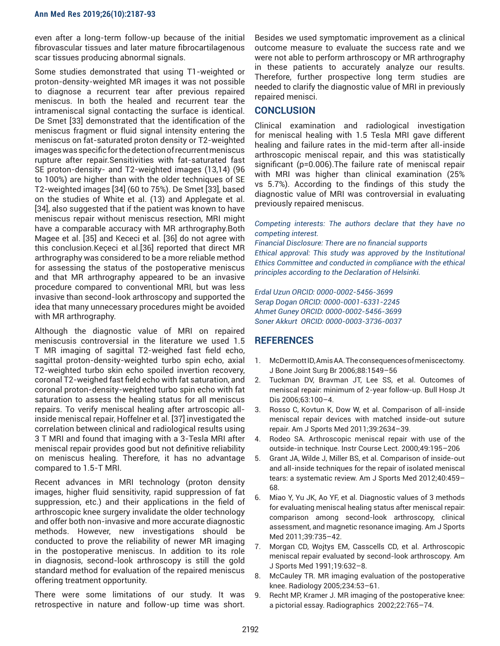even after a long-term follow-up because of the initial fibrovascular tissues and later mature fibrocartilagenous scar tissues producing abnormal signals.

Some studies demonstrated that using T1-weighted or proton-density-weighted MR images it was not possible to diagnose a recurrent tear after previous repaired meniscus. In both the healed and recurrent tear the intrameniscal signal contacting the surface is identical. De Smet [33] demonstrated that the identification of the meniscus fragment or fluid signal intensity entering the meniscus on fat-saturated proton density or T2-weighted images was specific for the detection of recurrent meniscus rupture after repair.Sensitivities with fat-saturated fast SE proton-density- and T2-weighted images (13,14) (96 to 100%) are higher than with the older techniques of SE T2-weighted images [34] (60 to 75%). De Smet [33], based on the studies of White et al. (13) and Applegate et al. [34], also suggested that if the patient was known to have meniscus repair without meniscus resection, MRI might have a comparable accuracy with MR arthrography.Both Magee et al. [35] and Kececi et al. [36] do not agree with this conclusion.Keçeci et al.[36] reported that direct MR arthrography was considered to be a more reliable method for assessing the status of the postoperative meniscus and that MR arthrography appeared to be an invasive procedure compared to conventional MRI, but was less invasive than second-look arthroscopy and supported the idea that many unnecessary procedures might be avoided with MR arthrography.

Although the diagnostic value of MRI on repaired meniscusis controversial in the literature we used 1.5 T MR imaging of sagittal T2-weighed fast field echo, sagittal proton-density-weighted turbo spin echo, axial T2-weighted turbo skin echo spoiled invertion recovery, coronal T2-weighed fast field echo with fat saturation, and coronal proton-density-weighted turbo spin echo with fat saturation to assess the healing status for all meniscus repairs. To verify meniscal healing after artroscopic allinside meniscal repair, Hoffelner et al. [37] investigated the correlation between clinical and radiological results using 3 T MRI and found that imaging with a 3-Tesla MRI after meniscal repair provides good but not definitive reliability on meniscus healing. Therefore, it has no advantage compared to 1.5-T MRI.

Recent advances in MRI technology (proton density images, higher fluid sensitivity, rapid suppression of fat suppression, etc.) and their applications in the field of arthroscopic knee surgery invalidate the older technology and offer both non-invasive and more accurate diagnostic methods. However, new investigations should be conducted to prove the reliability of newer MR imaging in the postoperative meniscus. In addition to its role in diagnosis, second-look arthroscopy is still the gold standard method for evaluation of the repaired meniscus offering treatment opportunity.

There were some limitations of our study. It was retrospective in nature and follow-up time was short.

Besides we used symptomatic improvement as a clinical outcome measure to evaluate the success rate and we were not able to perform arthroscopy or MR arthrography in these patients to accurately analyze our results. Therefore, further prospective long term studies are needed to clarify the diagnostic value of MRI in previously repaired menisci.

## **CONCLUSION**

Clinical examination and radiological investigation for meniscal healing with 1.5 Tesla MRI gave different healing and failure rates in the mid-term after all-inside arthroscopic meniscal repair, and this was statistically significant (p=0.006).The failure rate of meniscal repair with MRI was higher than clinical examination (25% vs 5.7%). According to the findings of this study the diagnostic value of MRI was controversial in evaluating previously repaired meniscus.

*Competing interests: The authors declare that they have no competing interest.* 

*Financial Disclosure: There are no financial supports Ethical approval: This study was approved by the Institutional Ethics Committee and conducted in compliance with the ethical principles according to the Declaration of Helsinki.*

*Erdal Uzun ORCID: 0000-0002-5456-3699 Serap Dogan ORCID: 0000-0001-6331-2245 Ahmet Guney ORCID: 0000-0002-5456-3699 Soner Akkurt ORCID: 0000-0003-3736-0037*

# **REFERENCES**

- 1. McDermott ID, Amis AA. The consequences of meniscectomy. J Bone Joint Surg Br 2006;88:1549–56
- 2. Tuckman DV, Bravman JT, Lee SS, et al. Outcomes of meniscal repair: minimum of 2-year follow-up. Bull Hosp Jt Dis 2006;63:100–4.
- 3. Rosso C, Kovtun K, Dow W, et al. Comparison of all-inside meniscal repair devices with matched inside-out suture repair. Am J Sports Med 2011;39:2634–39.
- 4. Rodeo SA. Arthroscopic meniscal repair with use of the outside-in technique. Instr Course Lect. 2000;49:195–206
- 5. Grant JA, Wilde J, Miller BS, et al. Comparison of inside-out and all-inside techniques for the repair of isolated meniscal tears: a systematic review. Am J Sports Med 2012;40:459– 68.
- 6. Miao Y, Yu JK, Ao YF, et al. Diagnostic values of 3 methods for evaluating meniscal healing status after meniscal repair: comparison among second-look arthroscopy, clinical assessment, and magnetic resonance imaging. Am J Sports Med 2011;39:735–42.
- 7. Morgan CD, Wojtys EM, Casscells CD, et al. Arthroscopic meniscal repair evaluated by second-look arthroscopy. Am J Sports Med 1991;19:632–8.
- 8. McCauley TR. MR imaging evaluation of the postoperative knee. Radiology 2005;234:53–61.
- 9. Recht MP, Kramer J. MR imaging of the postoperative knee: a pictorial essay. Radiographics 2002;22:765–74.